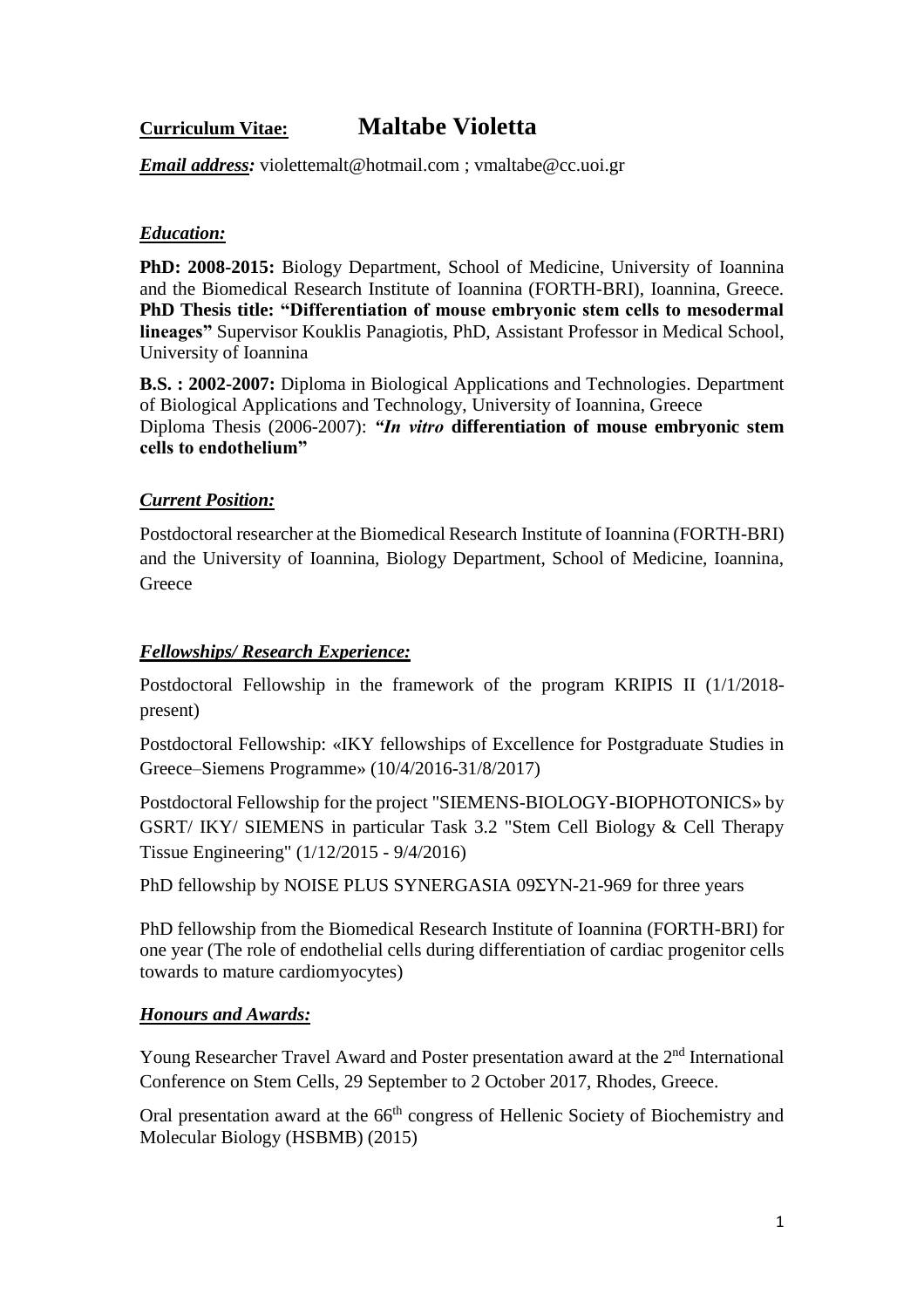# **Curriculum Vitae: Maltabe Violetta**

*Email address:* [violettemalt@hotmail.com](mailto:violettemalt@hotmail.com) ; vmaltabe@cc.uoi.gr

# *Education:*

**PhD: 2008-2015:** Biology Department, School of Medicine, University of Ioannina and the Biomedical Research Institute of Ioannina (FORTH-BRI), Ioannina, Greece. **PhD Thesis title: "Differentiation of mouse embryonic stem cells to mesodermal lineages"** Supervisor Kouklis Panagiotis, PhD, Assistant Professor in Medical School, University of Ioannina

**B.S. : 2002-2007:** Diploma in Biological Applications and Technologies. Department of Biological Applications and Technology, University of Ioannina, Greece Diploma Thesis (2006-2007): *"In vitro* **differentiation of mouse embryonic stem cells to endothelium"** 

## *Current Position:*

Postdoctoral researcher at the Biomedical Research Institute of Ioannina (FORTH-BRI) and the University of Ioannina, Biology Department, School of Medicine, Ioannina, **Greece** 

#### *Fellowships/ Research Experience:*

Postdoctoral Fellowship in the framework of the program KRIPIS II (1/1/2018 present)

Postdoctoral Fellowship: «IKY fellowships of Excellence for Postgraduate Studies in Greece–Siemens Programme» (10/4/2016-31/8/2017)

Postdoctoral Fellowship for the project "SIEMENS-BIOLOGY-BIOPHOTONICS» by GSRT/ IKY/ SIEMENS in particular Task 3.2 "Stem Cell Biology & Cell Therapy Tissue Engineering" (1/12/2015 - 9/4/2016)

PhD fellowship by NOISE PLUS SYNERGASIA 09ΣΥΝ-21-969 for three years

PhD fellowship from the Biomedical Research Institute of Ioannina (FORTH-BRI) for one year (The role of endothelial cells during differentiation of cardiac progenitor cells towards to mature cardiomyocytes)

## *Honours and Awards:*

Young Researcher Travel Award and Poster presentation award at the 2<sup>nd</sup> International Conference on Stem Cells, 29 September to 2 October 2017, Rhodes, Greece.

Oral presentation award at the 66<sup>th</sup> congress of Hellenic Society of Biochemistry and Molecular Biology (HSBMB) (2015)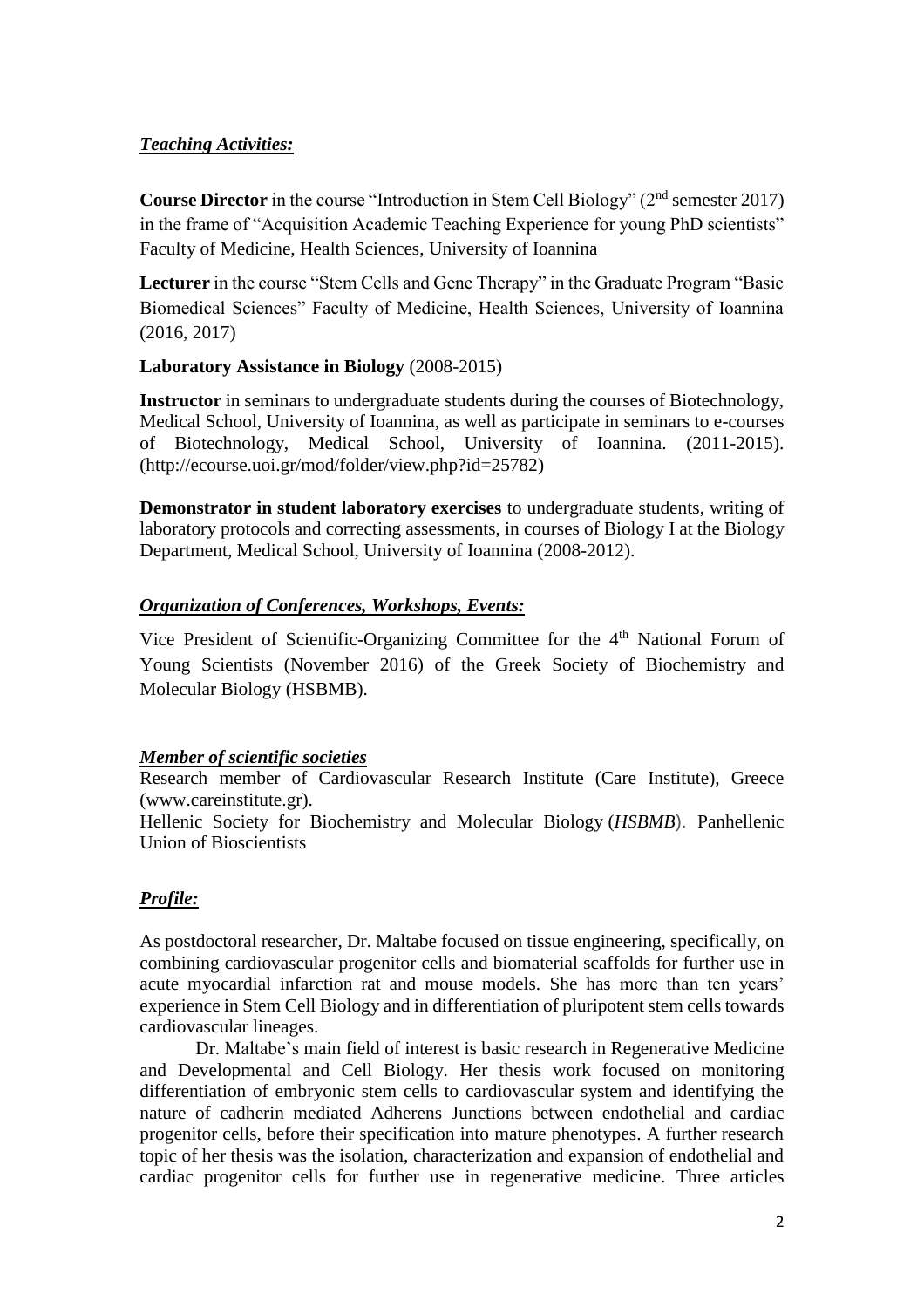#### *Teaching Activities:*

**Course Director** in the course "Introduction in Stem Cell Biology" (2<sup>nd</sup> semester 2017) in the frame of "Acquisition Academic Teaching Experience for young PhD scientists" Faculty of Medicine, Health Sciences, University of Ioannina

**Lecturer** in the course "Stem Cells and Gene Therapy" in the Graduate Program "Basic Biomedical Sciences" Faculty of Medicine, Health Sciences, University of Ioannina (2016, 2017)

#### **Laboratory Assistance in Biology** (2008-2015)

**Instructor** in seminars to undergraduate students during the courses of Biotechnology, Medical School, University of Ioannina, as well as participate in seminars to e-courses of Biotechnology, Medical School, University of Ioannina. (2011-2015). [\(http://ecourse.uoi.gr/mod/folder/view.php?id=25782\)](http://ecourse.uoi.gr/mod/folder/view.php?id=25782)

**Demonstrator in student laboratory exercises** to undergraduate students, writing of laboratory protocols and correcting assessments, in courses of Biology I at the Biology Department, Medical School, University of Ioannina (2008-2012).

## *Organization of Conferences, Workshops, Events:*

Vice President of Scientific-Organizing Committee for the 4th National Forum of Young Scientists (November 2016) of the Greek Society of Biochemistry and Molecular Biology (HSBMB).

## *Member of scientific societies*

Research member of Cardiovascular Research Institute (Care Institute), Greece [\(www.careinstitute.gr\)](http://www.careinstitute.gr/).

Hellenic Society for Biochemistry and Molecular Biology (*HSBMB*). Panhellenic Union of Bioscientists

## *Profile:*

As postdoctoral researcher, Dr. Maltabe focused on tissue engineering, specifically, on combining cardiovascular progenitor cells and biomaterial scaffolds for further use in acute myocardial infarction rat and mouse models. She has more than ten years' experience in Stem Cell Biology and in differentiation of pluripotent stem cells towards cardiovascular lineages.

Dr. Maltabe's main field of interest is basic research in Regenerative Medicine and Developmental and Cell Biology. Her thesis work focused on monitoring differentiation of embryonic stem cells to cardiovascular system and identifying the nature of cadherin mediated Adherens Junctions between endothelial and cardiac progenitor cells, before their specification into mature phenotypes. A further research topic of her thesis was the isolation, characterization and expansion of endothelial and cardiac progenitor cells for further use in regenerative medicine. Three articles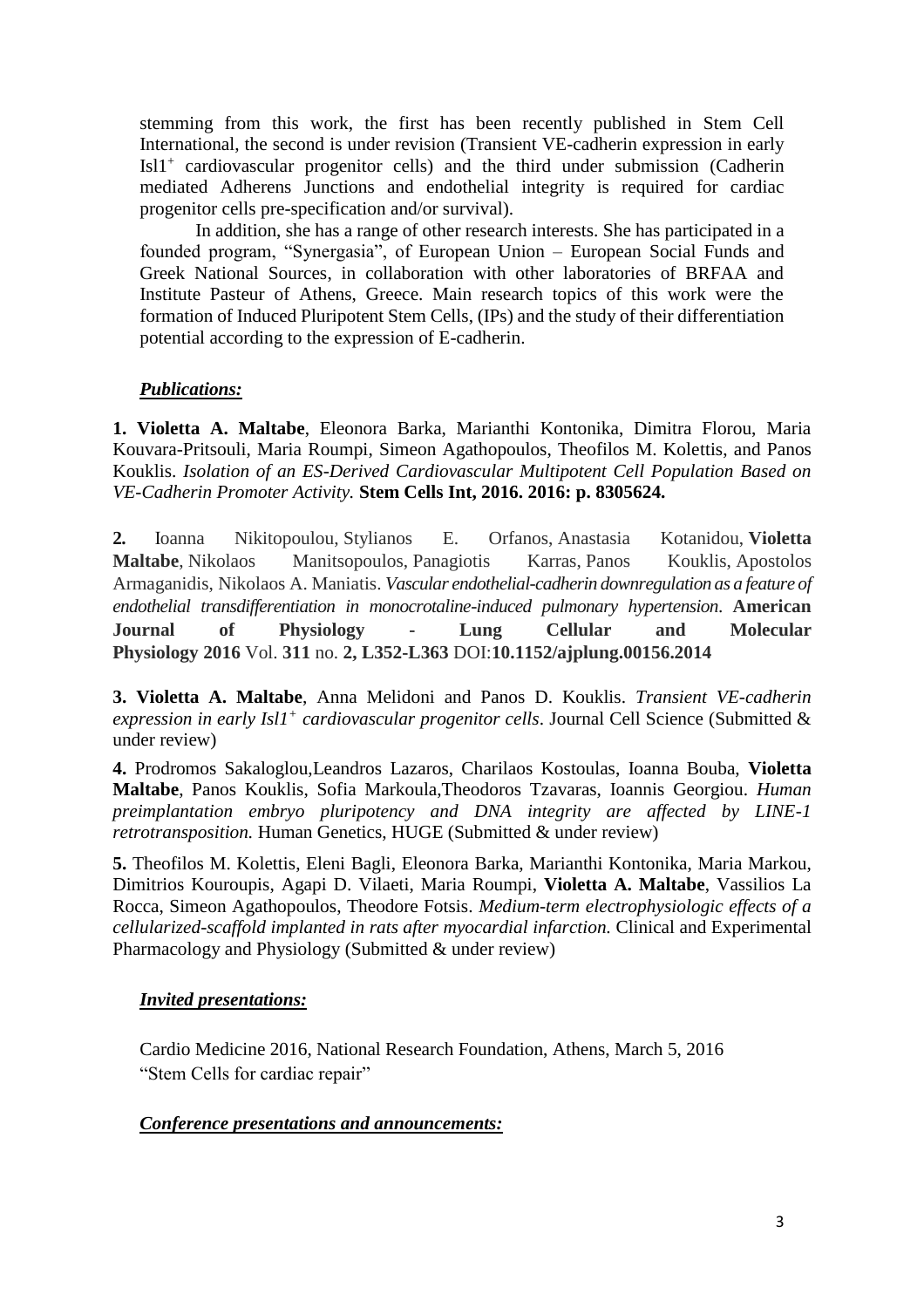stemming from this work, the first has been recently published in Stem Cell International, the second is under revision (Transient VE-cadherin expression in early Isl1<sup>+</sup> cardiovascular progenitor cells) and the third under submission (Cadherin mediated Adherens Junctions and endothelial integrity is required for cardiac progenitor cells pre-specification and/or survival).

In addition, she has a range of other research interests. She has participated in a founded program, "Synergasia", of European Union – European Social Funds and Greek National Sources, in collaboration with other laboratories of BRFAA and Institute Pasteur of Athens, Greece. Main research topics of this work were the formation of Induced Pluripotent Stem Cells, (IPs) and the study of their differentiation potential according to the expression of E-cadherin.

## *Publications:*

**1. Violetta A. Maltabe**, Eleonora Barka, Marianthi Kontonika, Dimitra Florou, Maria Kouvara-Pritsouli, Maria Roumpi, Simeon Agathopoulos, Theofilos M. Kolettis, and Panos Kouklis. *Isolation of an ES-Derived Cardiovascular Multipotent Cell Population Based on VE-Cadherin Promoter Activity.* **Stem Cells Int, 2016. 2016: p. 8305624.**

**2.** Ιoanna Nikitopoulou, Stylianos E. Orfanos, Anastasia Kotanidou, **Violetta Maltabe**, Nikolaos Manitsopoulos, Panagiotis Karras, Panos Kouklis, Apostolos Armaganidis, Nikolaos A. Maniatis. *Vascular endothelial-cadherin downregulation as a feature of endothelial transdifferentiation in monocrotaline-induced pulmonary hypertension*. **American Journal of Physiology - Lung Cellular and Molecular Physiology 2016** Vol. **311** no. **2, L352-L363** DOI:**10.1152/ajplung.00156.2014**

**3. Violetta A. Maltabe**, Anna Melidoni and Panos D. Kouklis. *Transient VE-cadherin expression in early Isl1<sup>+</sup> cardiovascular progenitor cells*. Journal Cell Science (Submitted & under review)

**4.** Prodromos Sakaloglou,Leandros Lazaros, Charilaos Kostoulas, Ioanna Bouba, **Violetta Maltabe**, Panos Kouklis, Sofia Markoula,Theodoros Tzavaras, Ioannis Georgiou. *Human preimplantation embryo pluripotency and DNA integrity are affected by LINE-1 retrotransposition.* Human Genetics, HUGE (Submitted & under review)

**5.** Theofilos M. Kolettis, Eleni Bagli, Eleonora Barka, Marianthi Kontonika, Maria Markou, Dimitrios Kouroupis, Agapi D. Vilaeti, Maria Roumpi, **Violetta A. Maltabe**, Vassilios La Rocca, Simeon Agathopoulos, Theodore Fotsis. *Medium-term electrophysiologic effects of a cellularized-scaffold implanted in rats after myocardial infarction.* Clinical and Experimental Pharmacology and Physiology (Submitted & under review)

## *Invited presentations:*

Cardio Medicine 2016, National Research Foundation, Athens, March 5, 2016 "Stem Cells for cardiac repair"

#### *Conference presentations and announcements:*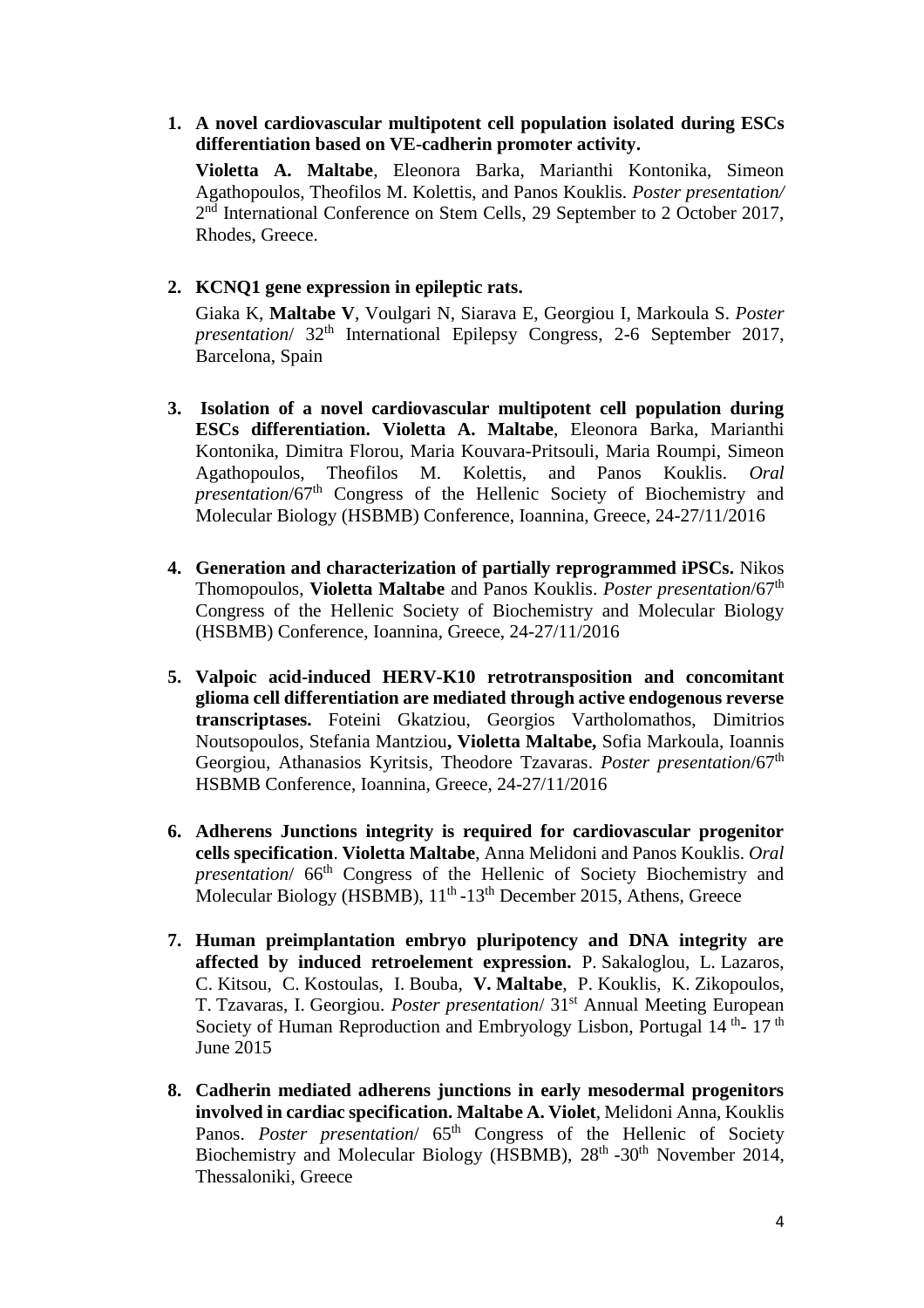**1. A novel cardiovascular multipotent cell population isolated during ESCs differentiation based on VE-cadherin promoter activity.** 

**Violetta A. Maltabe**, Eleonora Barka, Marianthi Kontonika, Simeon Agathopoulos, Theofilos M. Kolettis, and Panos Kouklis. *Poster presentation/*  2<sup>nd</sup> International Conference on Stem Cells, 29 September to 2 October 2017, Rhodes, Greece.

#### **2. KCNQ1 gene expression in epileptic rats.**

Giaka K, **Maltabe V**, Voulgari N, Siarava E, Georgiou I, Markoula S. *Poster presentation*/ 32<sup>th</sup> International Epilepsy Congress, 2-6 September 2017, Barcelona, Spain

- **3. Isolation of a novel cardiovascular multipotent cell population during ESCs differentiation. Violetta A. Maltabe**, Eleonora Barka, Marianthi Kontonika, Dimitra Florou, Maria Kouvara-Pritsouli, Maria Roumpi, Simeon Agathopoulos, Theofilos M. Kolettis, and Panos Kouklis. *Oral presentation*/67th Congress of the Hellenic Society of Biochemistry and Molecular Biology (HSBMB) Conference, Ioannina, Greece, 24-27/11/2016
- **4. Generation and characterization of partially reprogrammed iPSCs.** Nikos Thomopoulos, **Violetta Maltabe** and Panos Kouklis. *Poster presentation*/67th Congress of the Hellenic Society of Biochemistry and Molecular Biology (HSBMB) Conference, Ioannina, Greece, 24-27/11/2016
- **5. Valpoic acid-induced HERV-K10 retrotransposition and concomitant glioma cell differentiation are mediated through active endogenous reverse transcriptases.** Foteini Gkatziou, Georgios Vartholomathos, Dimitrios Noutsopoulos, Stefania Mantziou**, Violetta Maltabe,** Sofia Markoula, Ioannis Georgiou, Athanasios Kyritsis, Theodore Tzavaras. *Poster presentation*/67th HSBMB Conference, Ioannina, Greece, 24-27/11/2016
- **6. Adherens Junctions integrity is required for cardiovascular progenitor cells specification**. **Violetta Maltabe**, Anna Melidoni and Panos Kouklis. *Oral presentation*/ 66<sup>th</sup> Congress of the Hellenic of Society Biochemistry and Molecular Biology (HSBMB), 11<sup>th</sup> -13<sup>th</sup> December 2015, Athens, Greece
- **7. Human preimplantation embryo pluripotency and DNA integrity are affected by induced retroelement expression.** P. Sakaloglou, L. Lazaros, C. Kitsou, C. Kostoulas, I. Bouba, **V. Maltabe**, P. Kouklis, K. Zikopoulos, T. Tzavaras, I. Georgiou. *Poster presentation*/ 31st Annual Meeting European Society of Human Reproduction and Embryology Lisbon, Portugal 14<sup>th</sup>-17<sup>th</sup> June 2015
- **8. Cadherin mediated adherens junctions in early mesodermal progenitors involved in cardiac specification. Maltabe A. Violet**, Melidoni Anna, Kouklis Panos. *Poster presentation*/ 65<sup>th</sup> Congress of the Hellenic of Society Biochemistry and Molecular Biology (HSBMB), 28<sup>th</sup> -30<sup>th</sup> November 2014, Thessaloniki, Greece